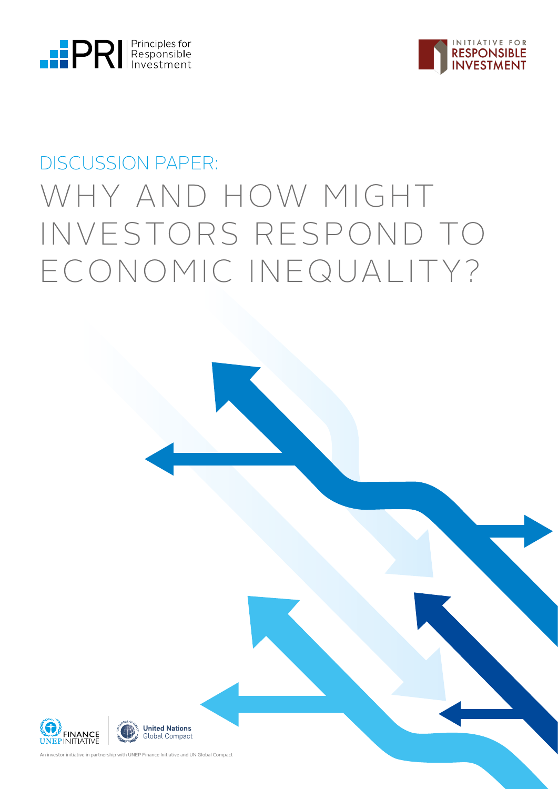



# DISCUSSION PAPER: WHY AND HOW MIGHT INVESTORS RESPOND TO ECONOMIC INEQUALITY?

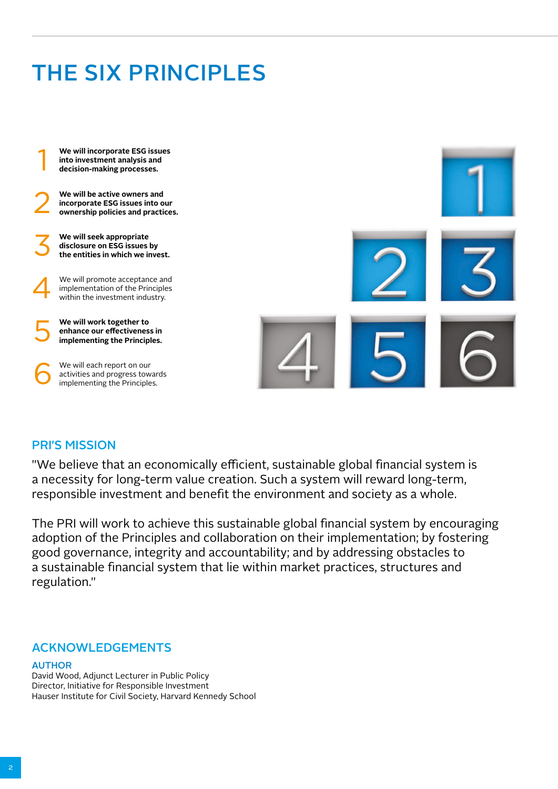# THE SIX PRINCIPLES

**We will incorporate ESG issues into investment analysis and** 1 **decision-making processes.**

**We will be active owners and incorporate ESG issues into our** 2 **ownership policies and practices.**

**We will seek appropriate disclosure on ESG issues by** 3 **the entities in which we invest.**

We will promote acceptance and implementation of the Principles<br>within the investment industry.

**We will work together to**  implementing the Principles.

We will each report on our activities and progress towards<br>implementing the Principles.



### PRI'S MISSION

"We believe that an economically efficient, sustainable global financial system is a necessity for long-term value creation. Such a system will reward long-term, responsible investment and benefit the environment and society as a whole.

The PRI will work to achieve this sustainable global financial system by encouraging adoption of the Principles and collaboration on their implementation; by fostering good governance, integrity and accountability; and by addressing obstacles to a sustainable financial system that lie within market practices, structures and regulation."

### ACKNOWLEDGEMENTS

### AUTHOR

David Wood, Adjunct Lecturer in Public Policy Director, Initiative for Responsible Investment Hauser Institute for Civil Society, Harvard Kennedy School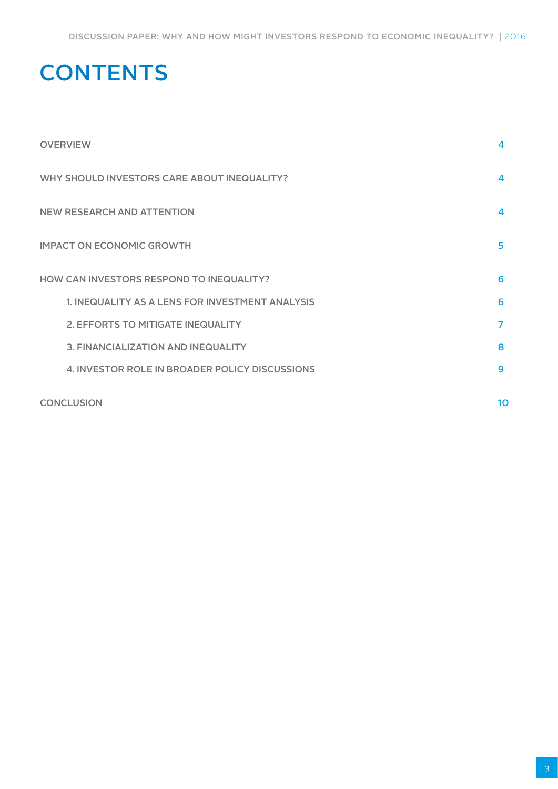# **CONTENTS**

| <b>OVERVIEW</b>                                 | 4                       |
|-------------------------------------------------|-------------------------|
| WHY SHOULD INVESTORS CARE ABOUT INEQUALITY?     | $\overline{\mathbf{4}}$ |
| <b>NEW RESEARCH AND ATTENTION</b>               | $\mathbf 4$             |
| <b>IMPACT ON ECONOMIC GROWTH</b>                | 5                       |
| HOW CAN INVESTORS RESPOND TO INEQUALITY?        | 6                       |
| 1. INEQUALITY AS A LENS FOR INVESTMENT ANALYSIS | 6                       |
| 2. EFFORTS TO MITIGATE INEQUALITY               | 7                       |
| 3. FINANCIALIZATION AND INEQUALITY              | 8                       |
| 4. INVESTOR ROLE IN BROADER POLICY DISCUSSIONS  | 9                       |
| <b>CONCLUSION</b>                               | 1 <sub>O</sub>          |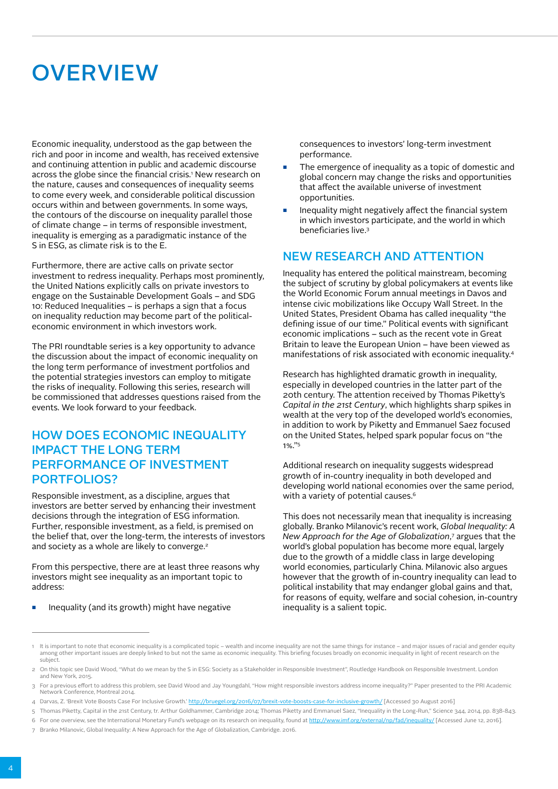# **OVERVIEW**

Economic inequality, understood as the gap between the rich and poor in income and wealth, has received extensive and continuing attention in public and academic discourse across the globe since the financial crisis.' New research on the nature, causes and consequences of inequality seems to come every week, and considerable political discussion occurs within and between governments. In some ways, the contours of the discourse on inequality parallel those of climate change – in terms of responsible investment, inequality is emerging as a paradigmatic instance of the S in ESG, as climate risk is to the E.

Furthermore, there are active calls on private sector investment to redress inequality. Perhaps most prominently, the United Nations explicitly calls on private investors to engage on the Sustainable Development Goals – and SDG 10: Reduced Inequalities – is perhaps a sign that a focus on inequality reduction may become part of the politicaleconomic environment in which investors work.

The PRI roundtable series is a key opportunity to advance the discussion about the impact of economic inequality on the long term performance of investment portfolios and the potential strategies investors can employ to mitigate the risks of inequality. Following this series, research will be commissioned that addresses questions raised from the events. We look forward to your feedback.

### HOW DOES ECONOMIC INEQUALITY IMPACT THE LONG TERM PERFORMANCE OF INVESTMENT PORTFOLIOS?

Responsible investment, as a discipline, argues that investors are better served by enhancing their investment decisions through the integration of ESG information. Further, responsible investment, as a field, is premised on the belief that, over the long-term, the interests of investors and society as a whole are likely to converge.<sup>2</sup>

From this perspective, there are at least three reasons why investors might see inequality as an important topic to address:

#### Inequality (and its growth) might have negative

consequences to investors' long-term investment performance.

- The emergence of inequality as a topic of domestic and global concern may change the risks and opportunities that affect the available universe of investment opportunities.
- Inequality might negatively affect the financial system in which investors participate, and the world in which beneficiaries live.3

### NEW RESEARCH AND ATTENTION

Inequality has entered the political mainstream, becoming the subject of scrutiny by global policymakers at events like the World Economic Forum annual meetings in Davos and intense civic mobilizations like Occupy Wall Street. In the United States, President Obama has called inequality "the defining issue of our time." Political events with significant economic implications – such as the recent vote in Great Britain to leave the European Union – have been viewed as manifestations of risk associated with economic inequality.4

Research has highlighted dramatic growth in inequality, especially in developed countries in the latter part of the 20th century. The attention received by Thomas Piketty's *Capital in the 21st Century*, which highlights sharp spikes in wealth at the very top of the developed world's economies, in addition to work by Piketty and Emmanuel Saez focused on the United States, helped spark popular focus on "the 1%."5

Additional research on inequality suggests widespread growth of in-country inequality in both developed and developing world national economies over the same period, with a variety of potential causes.<sup>6</sup>

This does not necessarily mean that inequality is increasing globally. Branko Milanovic's recent work, *Global Inequality: A New Approach for the Age of Globalization*, 7 argues that the world's global population has become more equal, largely due to the growth of a middle class in large developing world economies, particularly China. Milanovic also argues however that the growth of in-country inequality can lead to political instability that may endanger global gains and that, for reasons of equity, welfare and social cohesion, in-country inequality is a salient topic.

<sup>1</sup> It is important to note that economic inequality is a complicated topic – wealth and income inequality are not the same things for instance – and major issues of racial and gender equity among other important issues are deeply linked to but not the same as economic inequality. This briefing focuses broadly on economic inequality in light of recent research on the subject.

<sup>2</sup> On this topic see David Wood, "What do we mean by the S in ESG: Society as a Stakeholder in Responsible Investment", Routledge Handbook on Responsible Investment. London and New York, 2015.

<sup>3</sup> For a previous effort to address this problem, see David Wood and Jay Youngdahl, "How might responsible investors address income inequality?" Paper presented to the PRI Academic Network Conference, Montreal 2014.

<sup>4</sup> Darvas, Z. 'Brexit Vote Boosts Case For Inclusive Growth.'<http://bruegel.org/2016/07/brexit-vote-boosts-case-for-inclusive-growth/> [Accessed 30 August 2016]

<sup>5</sup> Thomas Piketty, Capital in the 21st Century, tr. Arthur Goldhammer, Cambridge 2014; Thomas Piketty and Emmanuel Saez, "Inequality in the Long-Run," Science 344, 2014, pp. 838-843.

<sup>6</sup> For one overview, see the International Monetary Fund's webpage on its research on inequality, found at <http://www.imf.org/external/np/fad/inequality/> [Accessed June 12, 2016].

<sup>7</sup> Branko Milanovic, Global Inequality: A New Approach for the Age of Globalization, Cambridge. 2016.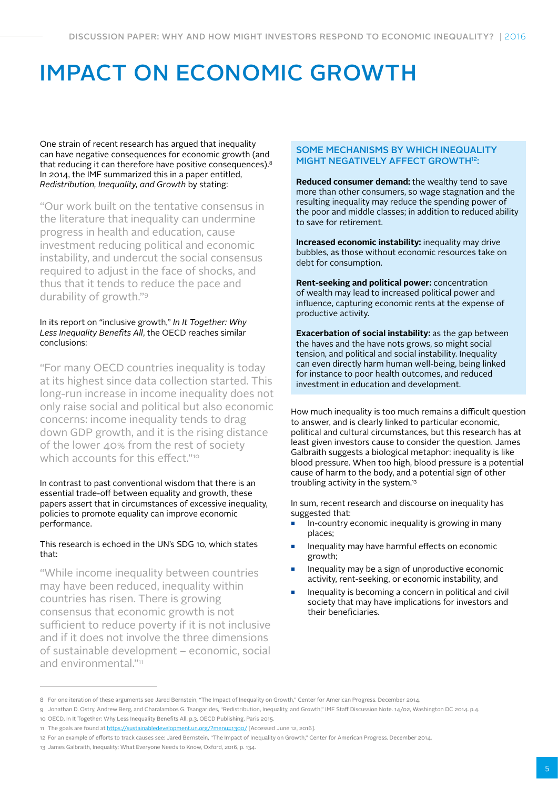# IMPACT ON ECONOMIC GROWTH

One strain of recent research has argued that inequality can have negative consequences for economic growth (and that reducing it can therefore have positive consequences).<sup>8</sup> In 2014, the IMF summarized this in a paper entitled, *Redistribution, Inequality, and Growth* by stating:

"Our work built on the tentative consensus in the literature that inequality can undermine progress in health and education, cause investment reducing political and economic instability, and undercut the social consensus required to adjust in the face of shocks, and thus that it tends to reduce the pace and durability of growth."9

### In its report on "inclusive growth," *In It Together: Why Less Inequality Benefits All*, the OECD reaches similar conclusions:

"For many OECD countries inequality is today at its highest since data collection started. This long-run increase in income inequality does not only raise social and political but also economic concerns: income inequality tends to drag down GDP growth, and it is the rising distance of the lower 40% from the rest of society which accounts for this effect." $10^{\circ}$ 

#### In contrast to past conventional wisdom that there is an essential trade-off between equality and growth, these papers assert that in circumstances of excessive inequality, policies to promote equality can improve economic performance.

### This research is echoed in the UN's SDG 10, which states that:

"While income inequality between countries may have been reduced, inequality within countries has risen. There is growing consensus that economic growth is not sufficient to reduce poverty if it is not inclusive and if it does not involve the three dimensions of sustainable development – economic, social and environmental."11

### SOME MECHANISMS BY WHICH INEQUALITY MIGHT NEGATIVELY AFFECT GROWTH12:

**Reduced consumer demand:** the wealthy tend to save more than other consumers, so wage stagnation and the resulting inequality may reduce the spending power of the poor and middle classes; in addition to reduced ability to save for retirement.

**Increased economic instability:** inequality may drive bubbles, as those without economic resources take on debt for consumption.

**Rent-seeking and political power:** concentration of wealth may lead to increased political power and influence, capturing economic rents at the expense of productive activity.

**Exacerbation of social instability:** as the gap between the haves and the have nots grows, so might social tension, and political and social instability. Inequality can even directly harm human well-being, being linked for instance to poor health outcomes, and reduced investment in education and development.

How much inequality is too much remains a difficult question to answer, and is clearly linked to particular economic, political and cultural circumstances, but this research has at least given investors cause to consider the question. James Galbraith suggests a biological metaphor: inequality is like blood pressure. When too high, blood pressure is a potential cause of harm to the body, and a potential sign of other troubling activity in the system.13

In sum, recent research and discourse on inequality has suggested that:

- In-country economic inequality is growing in many places;
- Inequality may have harmful effects on economic growth;
- Inequality may be a sign of unproductive economic activity, rent-seeking, or economic instability, and
- Inequality is becoming a concern in political and civil society that may have implications for investors and their beneficiaries.

<sup>8</sup> For one iteration of these arguments see Jared Bernstein, "The Impact of Inequality on Growth," Center for American Progress. December 2014.

<sup>9</sup> Jonathan D. Ostry, Andrew Berg, and Charalambos G. Tsangarides, "Redistribution, Inequality, and Growth," IMF Staff Discussion Note. 14/02, Washington DC 2014. p.4.

<sup>10</sup> OECD, In It Together: Why Less Inequality Benefits All, p.3, OECD Publishing. Paris 2015.

<sup>11</sup> The goals are found at [https://sustainabledevelopment.un.org/?menu=1300/](https://sustainabledevelopment.un.org/) [Accessed June 12, 2016].

<sup>12</sup> For an example of efforts to track causes see: Jared Bernstein, "The Impact of Inequality on Growth," Center for American Progress. December 2014.

<sup>13</sup> James Galbraith, Inequality: What Everyone Needs to Know, Oxford, 2016, p. 134.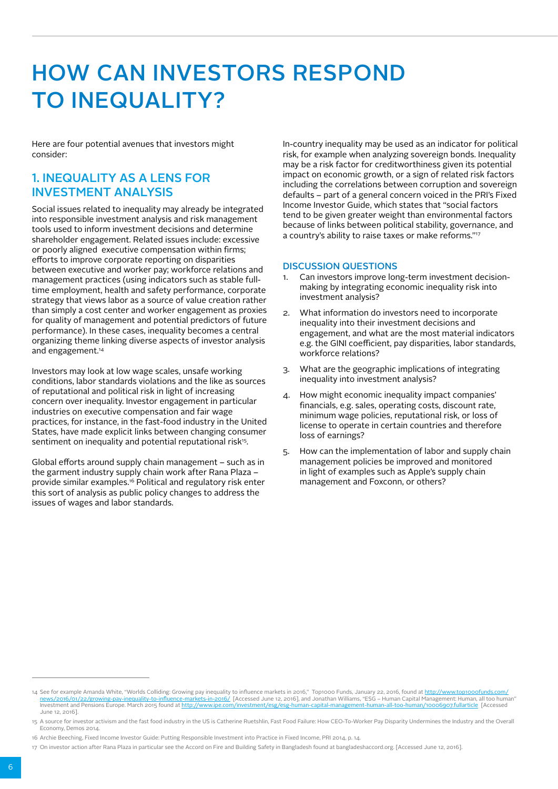# HOW CAN INVESTORS RESPOND TO INEQUALITY?

Here are four potential avenues that investors might consider:

## 1. INEQUALITY AS A LENS FOR INVESTMENT ANALYSIS

Social issues related to inequality may already be integrated into responsible investment analysis and risk management tools used to inform investment decisions and determine shareholder engagement. Related issues include: excessive or poorly aligned executive compensation within firms; efforts to improve corporate reporting on disparities between executive and worker pay; workforce relations and management practices (using indicators such as stable fulltime employment, health and safety performance, corporate strategy that views labor as a source of value creation rather than simply a cost center and worker engagement as proxies for quality of management and potential predictors of future performance). In these cases, inequality becomes a central organizing theme linking diverse aspects of investor analysis and engagement.<sup>14</sup>

Investors may look at low wage scales, unsafe working conditions, labor standards violations and the like as sources of reputational and political risk in light of increasing concern over inequality. Investor engagement in particular industries on executive compensation and fair wage practices, for instance, in the fast-food industry in the United States, have made explicit links between changing consumer sentiment on inequality and potential reputational risk<sup>15</sup>.

Global efforts around supply chain management – such as in the garment industry supply chain work after Rana Plaza – provide similar examples.16 Political and regulatory risk enter this sort of analysis as public policy changes to address the issues of wages and labor standards.

In-country inequality may be used as an indicator for political risk, for example when analyzing sovereign bonds. Inequality may be a risk factor for creditworthiness given its potential impact on economic growth, or a sign of related risk factors including the correlations between corruption and sovereign defaults – part of a general concern voiced in the PRI's Fixed Income Investor Guide, which states that "social factors tend to be given greater weight than environmental factors because of links between political stability, governance, and a country's ability to raise taxes or make reforms."17

- 1. Can investors improve long-term investment decisionmaking by integrating economic inequality risk into investment analysis?
- 2. What information do investors need to incorporate inequality into their investment decisions and engagement, and what are the most material indicators e.g. the GINI coefficient, pay disparities, labor standards, workforce relations?
- 3. What are the geographic implications of integrating inequality into investment analysis?
- 4. How might economic inequality impact companies' financials, e.g. sales, operating costs, discount rate, minimum wage policies, reputational risk, or loss of license to operate in certain countries and therefore loss of earnings?
- 5. How can the implementation of labor and supply chain management policies be improved and monitored in light of examples such as Apple's supply chain management and Foxconn, or others?

<sup>14</sup> See for example Amanda White, "Worlds Colliding: Growing pay inequality to influence markets in 2016," Top1000 Funds, January 22, 2016, found at http://www.top1000funds.com <u>news/2016/01/22/growing-pay-inequality-to-influence-markets-in-2016/</u> [Accessed June 12, 2016], and Jonathan Williams, "ESG – Human Capital Management: Human, all too human"<br>Investment and Pensions Europe. March 2015 foun June 12, 2016].

<sup>15</sup> A source for investor activism and the fast food industry in the US is Catherine Ruetshlin, Fast Food Failure: How CEO-To-Worker Pay Disparity Undermines the Industry and the Overall Economy, Demos 2014.

<sup>16</sup> Archie Beeching, Fixed Income Investor Guide: Putting Responsible Investment into Practice in Fixed Income, PRI 2014, p. 14.

<sup>17</sup> On investor action after Rana Plaza in particular see the Accord on Fire and Building Safety in Bangladesh found at bangladeshaccord.org. [Accessed June 12, 2016].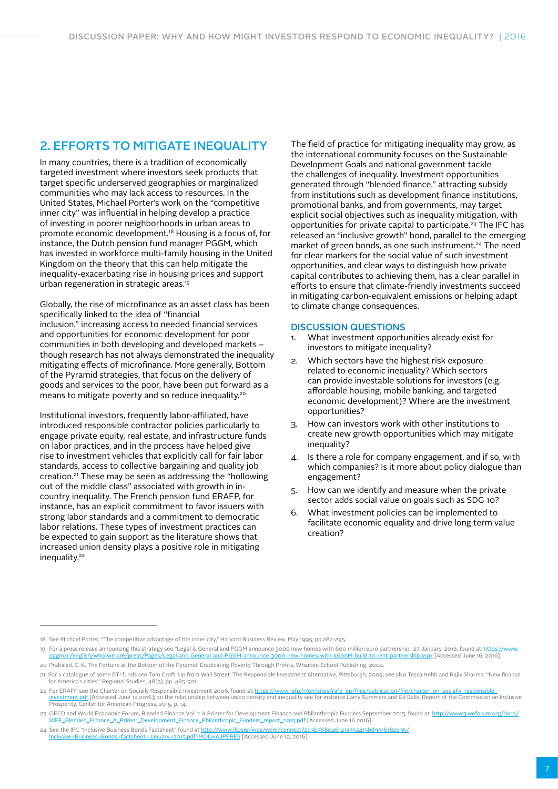## 2. EFFORTS TO MITIGATE INEQUALITY

In many countries, there is a tradition of economically targeted investment where investors seek products that target specific underserved geographies or marginalized communities who may lack access to resources. In the United States, Michael Porter's work on the "competitive inner city" was influential in helping develop a practice of investing in poorer neighborhoods in urban areas to promote economic development.18 Housing is a focus of, for instance, the Dutch pension fund manager PGGM, which has invested in workforce multi-family housing in the United Kingdom on the theory that this can help mitigate the inequality-exacerbating rise in housing prices and support urban regeneration in strategic areas.<sup>19</sup>

Globally, the rise of microfinance as an asset class has been specifically linked to the idea of "financial inclusion," increasing access to needed financial services and opportunities for economic development for poor communities in both developing and developed markets – though research has not always demonstrated the inequality mitigating effects of microfinance. More generally, Bottom of the Pyramid strategies, that focus on the delivery of goods and services to the poor, have been put forward as a means to mitigate poverty and so reduce inequality.20

Institutional investors, frequently labor-affiliated, have introduced responsible contractor policies particularly to engage private equity, real estate, and infrastructure funds on labor practices, and in the process have helped give rise to investment vehicles that explicitly call for fair labor standards, access to collective bargaining and quality job creation.21 These may be seen as addressing the "hollowing out of the middle class" associated with growth in incountry inequality. The French pension fund ERAFP, for instance, has an explicit commitment to favor issuers with strong labor standards and a commitment to democratic labor relations. These types of investment practices can be expected to gain support as the literature shows that increased union density plays a positive role in mitigating inequality.<sup>22</sup>

The field of practice for mitigating inequality may grow, as the international community focuses on the Sustainable Development Goals and national government tackle the challenges of inequality. Investment opportunities generated through "blended finance," attracting subsidy from institutions such as development finance institutions, promotional banks, and from governments, may target explicit social objectives such as inequality mitigation, with opportunities for private capital to participate.23 The IFC has released an "inclusive growth" bond, parallel to the emerging market of green bonds, as one such instrument.<sup>24</sup> The need for clear markers for the social value of such investment opportunities, and clear ways to distinguish how private capital contributes to achieving them, has a clear parallel in efforts to ensure that climate-friendly investments succeed in mitigating carbon-equivalent emissions or helping adapt to climate change consequences.

- 1. What investment opportunities already exist for investors to mitigate inequality?
- 2. Which sectors have the highest risk exposure related to economic inequality? Which sectors can provide investable solutions for investors (e.g. affordable housing, mobile banking, and targeted economic development)? Where are the investment opportunities?
- 3. How can investors work with other institutions to create new growth opportunities which may mitigate inequality?
- 4. Is there a role for company engagement, and if so, with which companies? Is it more about policy dialogue than engagement?
- 5. How can we identify and measure when the private sector adds social value on goals such as SDG 10?
- What investment policies can be implemented to facilitate economic equality and drive long term value creation?

<sup>18</sup> See Michael Porter, "The competitive advantage of the inner city," Harvard Business Review, May 1995, pp.282-295.

<sup>19</sup> For a press release announcing this strategy see "Legal & General and PGGM announce 3000 new homes with 600 million euro partnership" 27 January, 2016, found at: [https://www.](https://www.pggm.nl/english/who-we-are/press/Pages/Legal-and-General-and-PGGM-announce-3000-new-homes-with-£600M-build-to-rent-partnership.aspx) [pggm.nl/english/who-we-are/press/Pages/Legal-and-General-and-PGGM-announce-3000-new-homes-with-£600M-build-to-rent-partnership.aspx](https://www.pggm.nl/english/who-we-are/press/Pages/Legal-and-General-and-PGGM-announce-3000-new-homes-with-£600M-build-to-rent-partnership.aspx) [Accessed June 16, 2016].

<sup>20</sup> Prahalad, C. K. The Fortune at the Bottom of the Pyramid: Eradicating Poverty Through Profits, Wharton School Publishing, 2004.

<sup>21</sup> For a catalogue of some ETI funds see Tom Croft, Up from Wall Street: The Responsible Investment Alternative, Pittsburgh, 2009; see also Tessa Hebb and Rajiv Sharma, "New finance for America's cities," Regional Studies, 48(3), pp. 485-501.

ـ For ERAFP see the Charter on Socially Responsible Investment 2006, found at: <u>https://www.rafp.fr/en/sites/rafp\_en/files/publication/file/charter\_on\_socially\_responsible\_</u><br><u>[investment.pdf](https://www.rafp.fr/en/sites/rafp_en/files/publication/file/charter_on_socially_responsible_investment.pdf)</u> [Accessed June 12 2016]; on th Prosperity, Center for American Progress, 2015, p. 14.

<sup>23</sup> OECD and World Economic Forum, Blended Finance Vol. 1: A Primer for Development Finance and Philanthropic Funders September 2015, found at: [http://www3.weforum.org/docs/](http://www3.weforum.org/docs/WEF_Blended_Finance_A_Primer_Development_Finance_Philanthropic_Funders_report_2015.pdf) [WEF\\_Blended\\_Finance\\_A\\_Primer\\_Development\\_Finance\\_Philanthropic\\_Funders\\_report\\_2015.pdf](http://www3.weforum.org/docs/WEF_Blended_Finance_A_Primer_Development_Finance_Philanthropic_Funders_report_2015.pdf) [Accessed June 16 2016].

<sup>24</sup> See the IFC "Inclusive Business Bonds Factsheet" found at [http://www.ifc.org/wps/wcm/connect/2d3b368046121a35a415bd9916182e35/](http://www.ifc.org/wps/wcm/connect/2d3b368046121a35a415bd9916182e35/Inclusive+Business+Bonds+factsheet+January+2015.pdf?MOD=AJPERES) [Inclusive+Business+Bonds+factsheet+January+2015.pdf?MOD=AJPERES](http://www.ifc.org/wps/wcm/connect/2d3b368046121a35a415bd9916182e35/Inclusive+Business+Bonds+factsheet+January+2015.pdf?MOD=AJPERES) [Accessed June 12, 2016].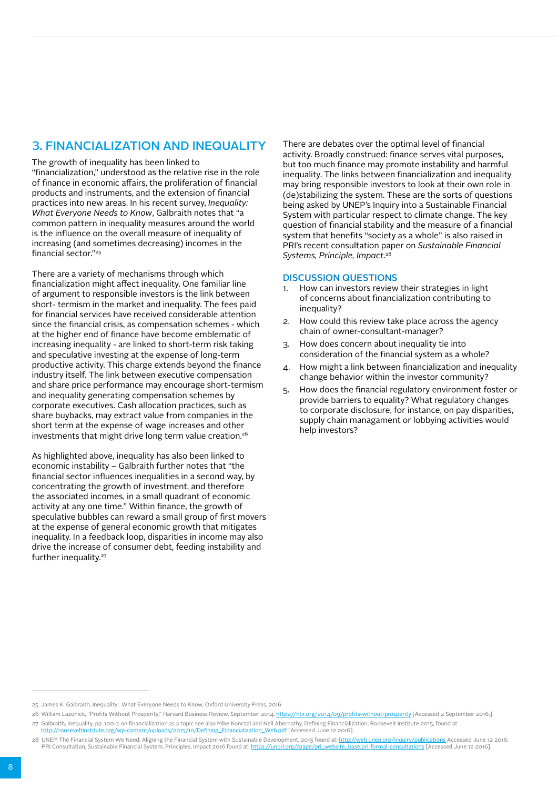# 3. FINANCIALIZATION AND INEQUALITY

The growth of inequality has been linked to

"financialization," understood as the relative rise in the role of finance in economic affairs, the proliferation of financial products and instruments, and the extension of financial practices into new areas. In his recent survey, *Inequality: What Everyone Needs to Know*, Galbraith notes that "a common pattern in inequality measures around the world is the influence on the overall measure of inequality of increasing (and sometimes decreasing) incomes in the financial sector."25

There are a variety of mechanisms through which financialization might affect inequality. One familiar line of argument to responsible investors is the link between short- termism in the market and inequality. The fees paid for financial services have received considerable attention since the financial crisis, as compensation schemes - which at the higher end of finance have become emblematic of increasing inequality - are linked to short-term risk taking and speculative investing at the expense of long-term productive activity. This charge extends beyond the finance industry itself. The link between executive compensation and share price performance may encourage short-termism and inequality generating compensation schemes by corporate executives. Cash allocation practices, such as share buybacks, may extract value from companies in the short term at the expense of wage increases and other investments that might drive long term value creation.<sup>26</sup>

As highlighted above, inequality has also been linked to economic instability – Galbraith further notes that "the financial sector influences inequalities in a second way, by concentrating the growth of investment, and therefore the associated incomes, in a small quadrant of economic activity at any one time." Within finance, the growth of speculative bubbles can reward a small group of first movers at the expense of general economic growth that mitigates inequality. In a feedback loop, disparities in income may also drive the increase of consumer debt, feeding instability and further inequality.<sup>27</sup>

There are debates over the optimal level of financial activity. Broadly construed: finance serves vital purposes, but too much finance may promote instability and harmful inequality. The links between financialization and inequality may bring responsible investors to look at their own role in (de)stabilizing the system. These are the sorts of questions being asked by UNEP's Inquiry into a Sustainable Financial System with particular respect to climate change. The key question of financial stability and the measure of a financial system that benefits "society as a whole" is also raised in PRI's recent consultation paper on *Sustainable Financial Systems, Principle, Impact*. 28

- 1. How can investors review their strategies in light of concerns about financialization contributing to inequality?
- 2. How could this review take place across the agency chain of owner-consultant-manager?
- 3. How does concern about inequality tie into consideration of the financial system as a whole?
- 4. How might a link between financialization and inequality change behavior within the investor community?
- 5. How does the financial regulatory environment foster or provide barriers to equality? What regulatory changes to corporate disclosure, for instance, on pay disparities, supply chain managament or lobbying activities would help investors?

<sup>25</sup> James K. Galbraith, Inequality: What Everyone Needs to Know, Oxford University Press, 2016

<sup>26</sup> William Lazonick, "Profits Without Prosperity," Harvard Business Review, September 2014. <https://hbr.org/2014/09/profits-without-prosperity>[Accessed 2 September 2016.] 27 Galbraith, Inequality, pp. 100-1; on financialization as a topic see also Mike Konczal and Nell Abernathy, Defining Financialization, Roosevelt Institute 2015, found at [http://rooseveltinstitute.org/wp-content/uploads/2015/10/Defining\\_Financialization\\_Web.pdf](http://rooseveltinstitute.org/wp-content/uploads/2015/10/Defining_Financialization_Web.pdf) [Accessed June 12 2016].

<sup>28</sup> UNEP, The Financial System We Need: Aligning the Financial System with Sustainable Development, 2015 found at: <http://web.unep.org/inquiry/publications>Accessed June 12 2016;<br>PRI Consultation, Sustainable Financial Syst PRI Consultation, Sustainable Financial System, Principles, Impact 2016 found at: https://unpri.org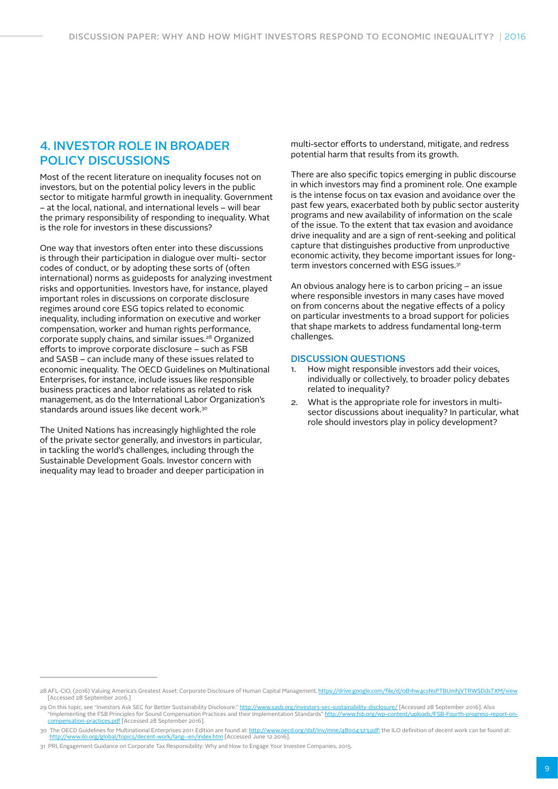### 4. INVESTOR ROLE IN BROADER POLICY DISCUSSIONS

Most of the recent literature on inequality focuses not on investors, but on the potential policy levers in the public sector to mitigate harmful growth in inequality. Government – at the local, national, and international levels – will bear the primary responsibility of responding to inequality. What is the role for investors in these discussions?

One way that investors often enter into these discussions is through their participation in dialogue over multi- sector codes of conduct, or by adopting these sorts of (often international) norms as guideposts for analyzing investment risks and opportunities. Investors have, for instance, played important roles in discussions on corporate disclosure regimes around core ESG topics related to economic inequality, including information on executive and worker compensation, worker and human rights performance, corporate supply chains, and similar issues.28 Organized efforts to improve corporate disclosure – such as FSB and SASB – can include many of these issues related to economic inequality. The OECD Guidelines on Multinational Enterprises, for instance, include issues like responsible business practices and labor relations as related to risk management, as do the International Labor Organization's standards around issues like decent work.<sup>30</sup>

The United Nations has increasingly highlighted the role of the private sector generally, and investors in particular, in tackling the world's challenges, including through the Sustainable Development Goals. Investor concern with inequality may lead to broader and deeper participation in multi-sector efforts to understand, mitigate, and redress potential harm that results from its growth.

There are also specific topics emerging in public discourse in which investors may find a prominent role. One example is the intense focus on tax evasion and avoidance over the past few years, exacerbated both by public sector austerity programs and new availability of information on the scale of the issue. To the extent that tax evasion and avoidance drive inequality and are a sign of rent-seeking and political capture that distinguishes productive from unproductive economic activity, they become important issues for longterm investors concerned with ESG issues.<sup>31</sup>

An obvious analogy here is to carbon pricing – an issue where responsible investors in many cases have moved on from concerns about the negative effects of a policy on particular investments to a broad support for policies that shape markets to address fundamental long-term challenges.

- How might responsible investors add their voices, individually or collectively, to broader policy debates related to inequality?
- 2. What is the appropriate role for investors in multisector discussions about inequality? In particular, what role should investors play in policy development?

<sup>28</sup> AFL-CIO, (2016) Valuing America's Greatest Asset: Corporate Disclosure of Human Capital Management. https://drive.google.com/file/d/oB1hw4csNsPTBUmhjVTRWSDdsTXM/view [Accessed 28 September 2016.]

<sup>29</sup> On this topic, see "Investors Ask SEC for Better Sustainability Disclosure." <u><http://www.sasb.org/investors-sec-sustainability-disclosure/></u> [Accessed 28 September 2016]. Also "Implementing the FSB Principles for Sound [compensation-practices.pdf](http://www.fsb.org/wp-content/uploads/FSB-Fourth-progress-report-on-compensation-practices.pdf) [Accessed 28 September 2016].

<sup>30</sup> The OECD Guidelines for Multinational Enterprises 2011 Edition are found at: <http://www.oecd.org/daf/inv/mne/48004323.pdf>; the ILO definition of decent work can be found at: <http://www.ilo.org/global/topics/decent-work/lang--en/index.htm> [Accessed June 12 2016].

<sup>31</sup> PRI, Engagement Guidance on Corporate Tax Responsibility: Why and How to Engage Your Investee Companies, 2015.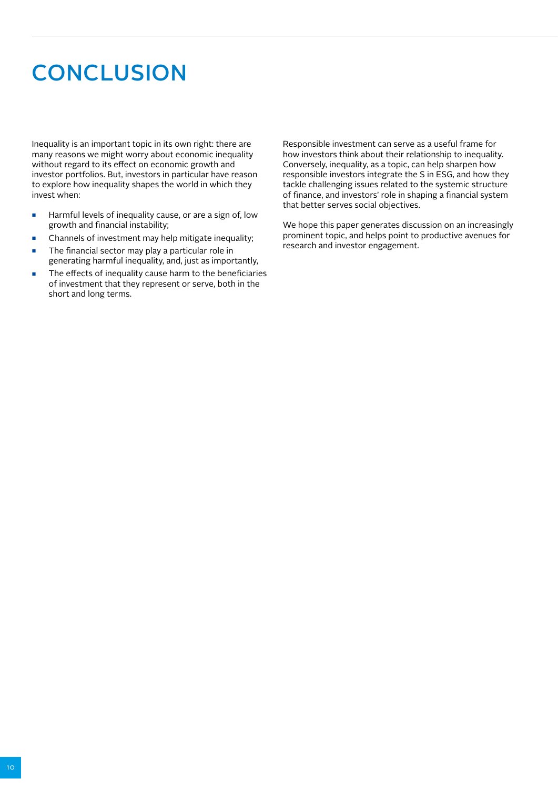# **CONCLUSION**

Inequality is an important topic in its own right: there are many reasons we might worry about economic inequality without regard to its effect on economic growth and investor portfolios. But, investors in particular have reason to explore how inequality shapes the world in which they invest when:

- Harmful levels of inequality cause, or are a sign of, low growth and financial instability;
- Channels of investment may help mitigate inequality;
- The financial sector may play a particular role in generating harmful inequality, and, just as importantly,
- The effects of inequality cause harm to the beneficiaries of investment that they represent or serve, both in the short and long terms.

Responsible investment can serve as a useful frame for how investors think about their relationship to inequality. Conversely, inequality, as a topic, can help sharpen how responsible investors integrate the S in ESG, and how they tackle challenging issues related to the systemic structure of finance, and investors' role in shaping a financial system that better serves social objectives.

We hope this paper generates discussion on an increasingly prominent topic, and helps point to productive avenues for research and investor engagement.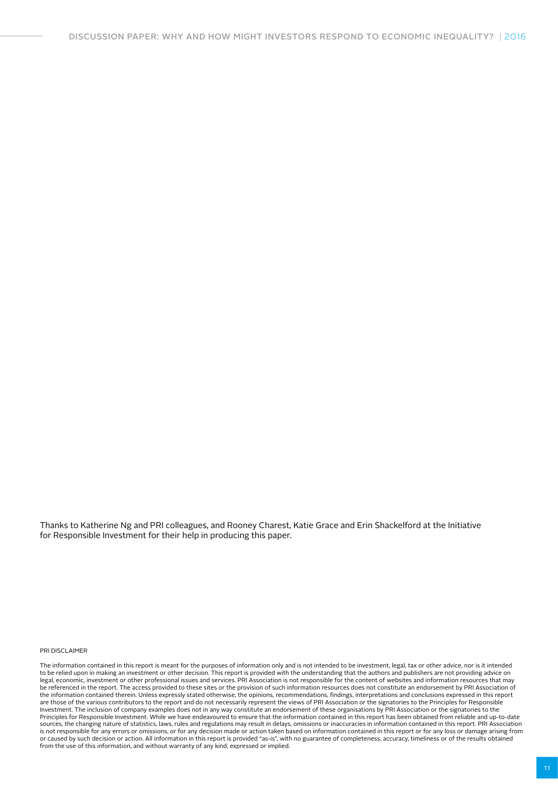Thanks to Katherine Ng and PRI colleagues, and Rooney Charest, Katie Grace and Erin Shackelford at the Initiative for Responsible Investment for their help in producing this paper.

PRI DISCLAIMER

The information contained in this report is meant for the purposes of information only and is not intended to be investment, legal, tax or other advice, nor is it intended<br>to be relied upon in making an investment or other legal, economic, investment or other professional issues and services. PRI Association is not responsible for the content of websites and information resources that may be referenced in the report. The access provided to these sites or the provision of such information resources does not constitute an endorsement by PRI Association of<br>the information contained therein. Unless expressly st are those of the various contributors to the report and do not necessarily represent the views of PRI Association or the signatories to the Principles for Responsible Investment. The inclusion of company examples does not in any way constitute an endorsement of these organisations by PRI Association or the signatories to the Principles for Responsible Investment. While we have endeavoured to ensure that the information contained in this report has been obtained from reliable and up-to-date<br>sources, the changing nature of statistics, laws, rule or caused by such decision or action. All information in this report is provided "as-is", with no guarantee of completeness, accuracy, timeliness or of the results obtained from the use of this information, and without warranty of any kind, expressed or implied.